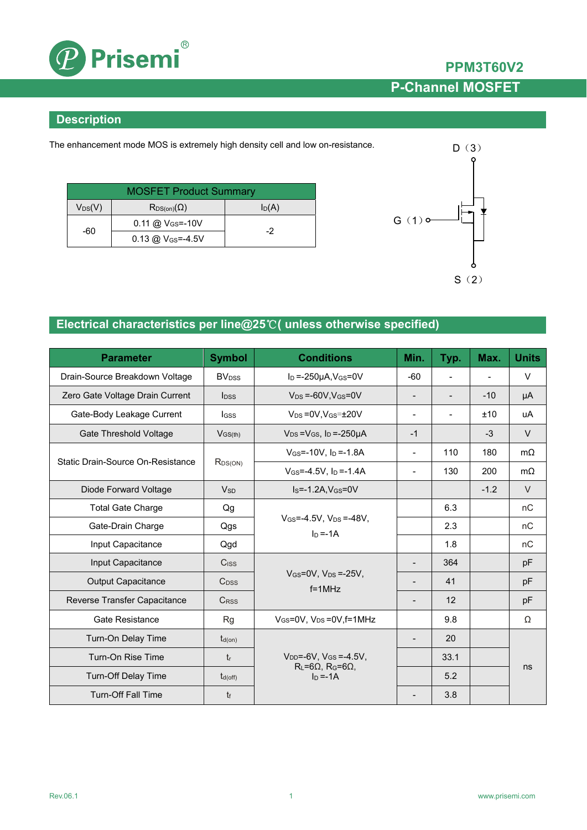

## **PPM3T60V2 P-Channel MOSFET**

### **Description**

The enhancement mode MOS is extremely high density cell and low on-resistance.

| <b>MOSFET Product Summary</b> |                            |       |  |  |
|-------------------------------|----------------------------|-------|--|--|
| $V_{DS}(V)$                   | $R_{DS(on)}(\Omega)$       | ln(A) |  |  |
| -60                           | $0.11 \ @ \ V_{GS} = -10V$ | -2    |  |  |
|                               | 0.13 @ $V_{GS} = -4.5V$    |       |  |  |



### **Electrical characteristics per line@25**℃**( unless otherwise specified)**

| <b>Parameter</b>                  | <b>Symbol</b>                                                                                                     | <b>Conditions</b>                                       | Min.                     | Typ.                     | Max.      | <b>Units</b> |
|-----------------------------------|-------------------------------------------------------------------------------------------------------------------|---------------------------------------------------------|--------------------------|--------------------------|-----------|--------------|
| Drain-Source Breakdown Voltage    | <b>BV</b> <sub>DSS</sub>                                                                                          | $I_D = -250\mu A$ , $V_{GS} = 0V$                       | $-60$                    |                          |           | $\vee$       |
| Zero Gate Voltage Drain Current   | $\mathsf{loss}$                                                                                                   | $V_{DS} = -60V$ , $V_{GS} = 0V$                         | $\blacksquare$           | $\overline{\phantom{a}}$ | $-10$     | μA           |
| Gate-Body Leakage Current         | Igss                                                                                                              | $V_{DS} = 0V.V_{GS} = \pm 20V$                          | $\overline{\phantom{a}}$ | $\blacksquare$           | ±10       | uA           |
| <b>Gate Threshold Voltage</b>     | $V_{GS(th)}$                                                                                                      | $V_{DS} = V_{GS}$ , $I_D = -250 \mu A$                  | $-1$                     |                          | $-3$      | $\vee$       |
|                                   | $V$ <sub>GS</sub> =-10V. I <sub>D</sub> =-1.8A<br>$R_{DS(ON)}$<br>$V$ <sub>GS</sub> =-4.5V, I <sub>D</sub> =-1.4A | $\blacksquare$                                          | 110                      | 180                      | $m\Omega$ |              |
| Static Drain-Source On-Resistance |                                                                                                                   |                                                         | $\blacksquare$           | 130                      | 200       | $m\Omega$    |
| Diode Forward Voltage             | <b>V<sub>sp</sub></b>                                                                                             | $Is = -1.2A$ , $V_{GS} = 0V$                            |                          |                          | $-1.2$    | $\vee$       |
| <b>Total Gate Charge</b>          | Qg                                                                                                                |                                                         |                          | 6.3                      |           | nC           |
| Gate-Drain Charge                 | Qgs                                                                                                               | $V$ <sub>GS</sub> =-4.5V, $V_{DS}$ =-48V,<br>$In = -1A$ |                          | 2.3                      |           | nC           |
| Input Capacitance                 | Qgd                                                                                                               |                                                         |                          | 1.8                      |           | nC           |
| Input Capacitance                 | Ciss                                                                                                              |                                                         |                          | 364                      |           | pF           |
| <b>Output Capacitance</b>         | $C_{DSS}$                                                                                                         | $V_{GS} = 0V$ , $V_{DS} = -25V$ ,<br>$f = 1$ MHz        |                          | 41                       |           | pF           |
| Reverse Transfer Capacitance      | CRSS                                                                                                              |                                                         |                          | 12                       |           | pF           |
| <b>Gate Resistance</b>            | <b>Rg</b>                                                                                                         | $V_{GS}$ =0V, $V_{DS}$ =0V, f=1MHz                      |                          | 9.8                      |           | Ω            |
| Turn-On Delay Time                | $t_{d(on)}$                                                                                                       |                                                         |                          | 20                       |           |              |
| Turn-On Rise Time                 | $t_{r}$                                                                                                           | $V_{DD} = -6V$ , $V_{GS} = -4.5V$ ,                     |                          | 33.1                     |           | ns           |
| <b>Turn-Off Delay Time</b>        | $t_{d(off)}$                                                                                                      | $R_L = 6\Omega$ , $R_G = 6\Omega$ ,<br>$In = -1A$       |                          | 5.2                      |           |              |
| <b>Turn-Off Fall Time</b>         | tf                                                                                                                |                                                         |                          | 3.8                      |           |              |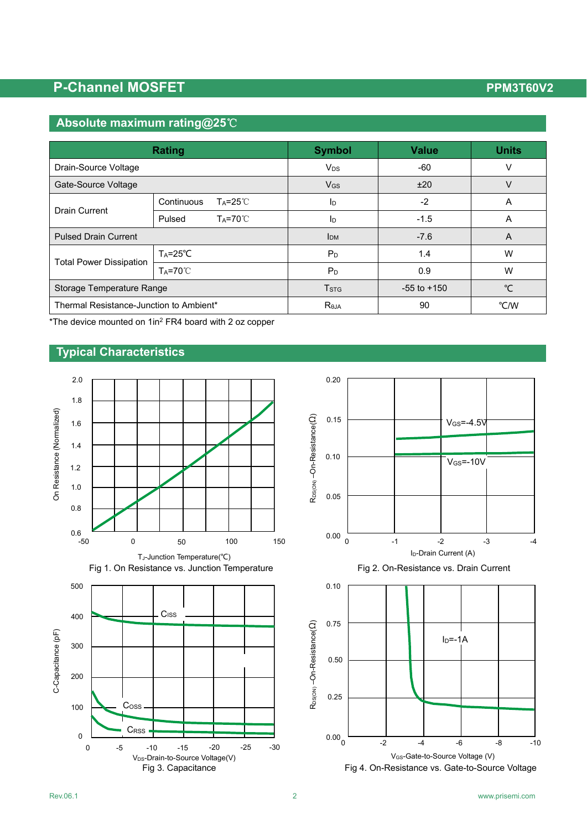## **P-Channel MOSFET** P-Channel MOSFET

## **Absolute maximum rating@25**℃

|                                         | <b>Rating</b>                    | <b>Symbol</b>                              | <b>Value</b> | <b>Units</b> |  |
|-----------------------------------------|----------------------------------|--------------------------------------------|--------------|--------------|--|
| Drain-Source Voltage                    |                                  | <b>V<sub>DS</sub></b>                      | $-60$        | v            |  |
| Gate-Source Voltage                     |                                  | $V_{GS}$                                   | ±20          | V            |  |
| Drain Current                           | Continuous<br>$Ta = 25^{\circ}C$ | $-2$<br>Iр                                 |              | A            |  |
|                                         | $Ta=70^{\circ}C$<br>Pulsed       | Iр                                         | $-1.5$       | A            |  |
| <b>Pulsed Drain Current</b>             |                                  | <b>I</b> DM                                | $-7.6$       | A            |  |
| <b>Total Power Dissipation</b>          | $T_A = 25^{\circ}C$              | P <sub>D</sub>                             | 1.4          | W            |  |
|                                         | $Ta = 70^{\circ}$                | $P_D$                                      | 0.9          | W            |  |
| Storage Temperature Range               |                                  | <b>T</b> <sub>STG</sub><br>$-55$ to $+150$ |              | °⊂           |  |
| Thermal Resistance-Junction to Ambient* |                                  | Reja                                       | 90           | °C/W         |  |

\*The device mounted on 1in2 FR4 board with 2 oz copper

### **Typical Characteristics**





V<sub>GS</sub>-Gate-to-Source Voltage (V)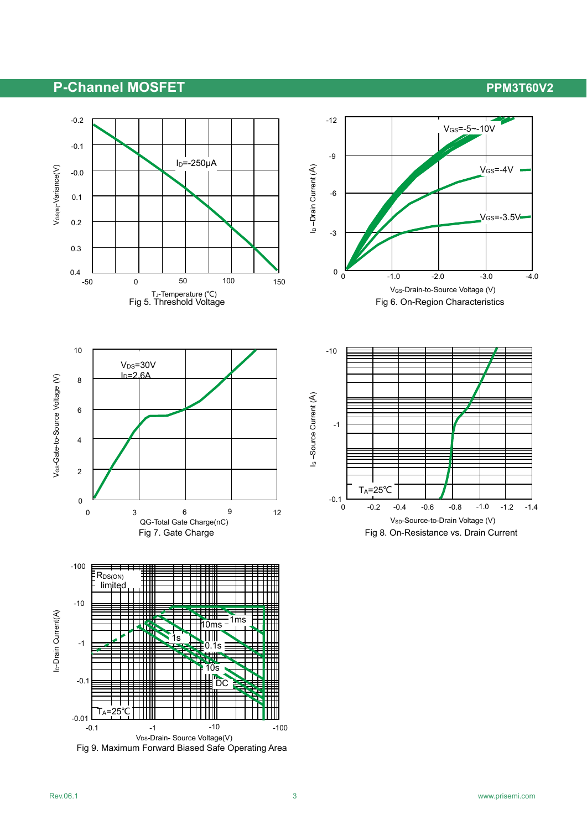## **P-Channel MOSFET** P-Channel ADSFET

VGS=-3.5V

 $V$ <sub>GS</sub> $=$ -4V

-1.0

-1.4



Fig 9. Maximum Forward Biased Safe Operating Area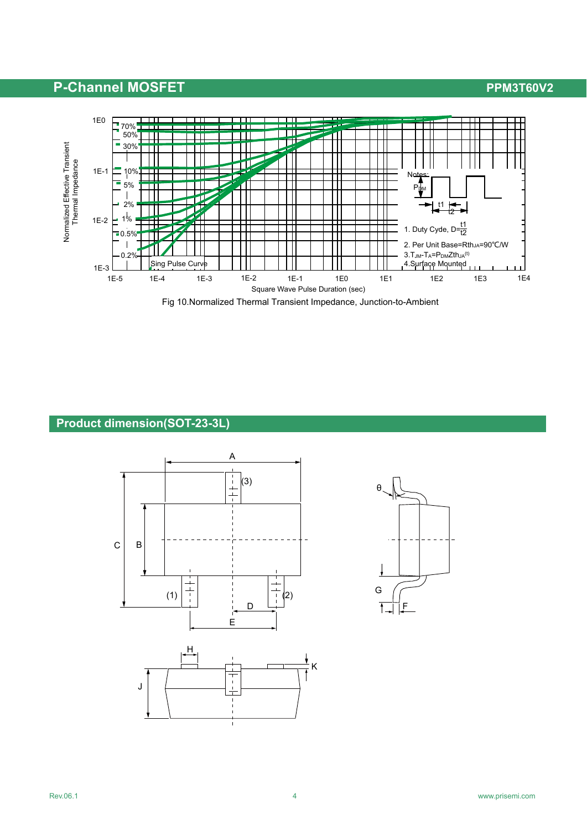## **P-Channel MOSFET** P-Channel MOSFET



### **Product dimension(SOT-23-3L)**



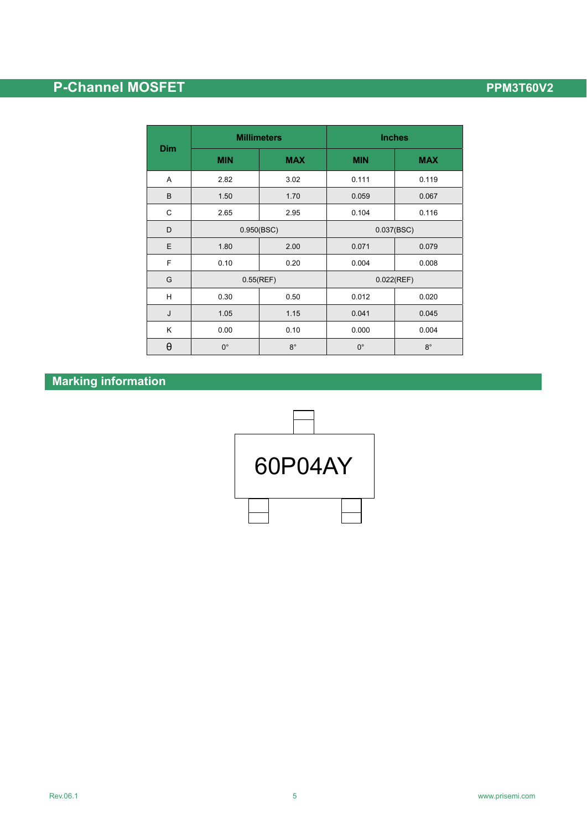# **P-Channel MOSFET P-Channel MOSFET**

| Dim      | <b>Millimeters</b> |             | <b>Inches</b> |            |  |
|----------|--------------------|-------------|---------------|------------|--|
|          | <b>MIN</b>         | <b>MAX</b>  | <b>MIN</b>    | <b>MAX</b> |  |
| Α        | 2.82               | 3.02        | 0.111         | 0.119      |  |
| B        | 1.50               | 1.70        | 0.059         | 0.067      |  |
| C        | 2.65               | 2.95        | 0.104         | 0.116      |  |
| D        | 0.950(BSC)         |             | 0.037(BSC)    |            |  |
| E        | 1.80               | 2.00        | 0.071         | 0.079      |  |
| F        | 0.10               | 0.20        | 0.004         | 0.008      |  |
| G        | 0.55(REF)          |             | 0.022(REF)    |            |  |
| Н        | 0.30               | 0.50        | 0.012         | 0.020      |  |
| J        | 1.05               | 1.15        | 0.041         | 0.045      |  |
| Κ        | 0.00               | 0.10        | 0.000         | 0.004      |  |
| $\theta$ | $0^{\circ}$        | $8^{\circ}$ | $0^{\circ}$   | $8^\circ$  |  |

### **Marking information**